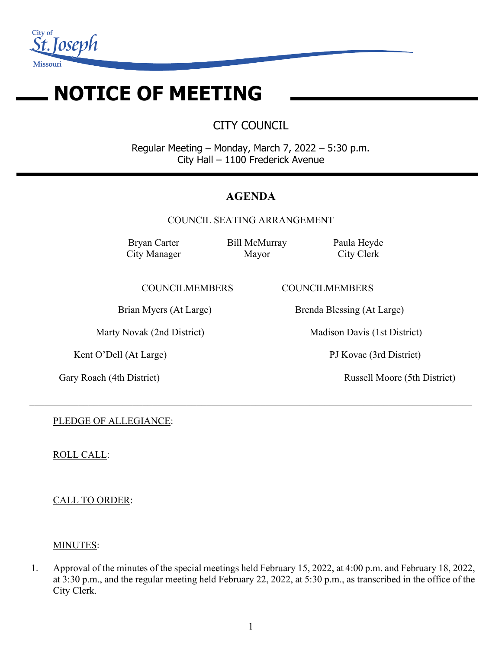

# **NOTICE OF MEETING**

CITY COUNCIL

Regular Meeting – Monday, March 7, 2022 – 5:30 p.m. City Hall – 1100 Frederick Avenue

# **AGENDA**

COUNCIL SEATING ARRANGEMENT

 $\_$  , and the contribution of the contribution of the contribution of the contribution of the contribution of  $\mathcal{L}_\text{max}$ 

Bryan Carter City Manager Bill McMurray Mayor

Paula Heyde City Clerk

COUNCILMEMBERS COUNCILMEMBERS

Brian Myers (At Large) Brenda Blessing (At Large)

Marty Novak (2nd District) Madison Davis (1st District)

Kent O'Dell (At Large) PJ Kovac (3rd District)

Gary Roach (4th District) Russell Moore (5th District)

PLEDGE OF ALLEGIANCE:

ROLL CALL:

CALL TO ORDER:

# MINUTES:

1. Approval of the minutes of the special meetings held February 15, 2022, at 4:00 p.m. and February 18, 2022, at 3:30 p.m., and the regular meeting held February 22, 2022, at 5:30 p.m., as transcribed in the office of the City Clerk.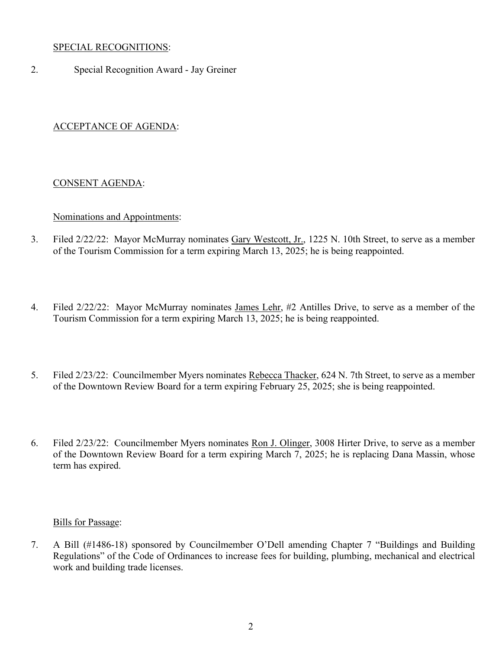### SPECIAL RECOGNITIONS:

2. Special Recognition Award - Jay Greiner

## ACCEPTANCE OF AGENDA:

### CONSENT AGENDA:

#### Nominations and Appointments:

- 3. Filed 2/22/22: Mayor McMurray nominates Gary Westcott, Jr., 1225 N. 10th Street, to serve as a member of the Tourism Commission for a term expiring March 13, 2025; he is being reappointed.
- 4. Filed 2/22/22: Mayor McMurray nominates James Lehr, #2 Antilles Drive, to serve as a member of the Tourism Commission for a term expiring March 13, 2025; he is being reappointed.
- 5. Filed 2/23/22: Councilmember Myers nominates Rebecca Thacker, 624 N. 7th Street, to serve as a member of the Downtown Review Board for a term expiring February 25, 2025; she is being reappointed.
- 6. Filed 2/23/22: Councilmember Myers nominates Ron J. Olinger, 3008 Hirter Drive, to serve as a member of the Downtown Review Board for a term expiring March 7, 2025; he is replacing Dana Massin, whose term has expired.

#### Bills for Passage:

7. A Bill (#1486-18) sponsored by Councilmember O'Dell amending Chapter 7 "Buildings and Building Regulations" of the Code of Ordinances to increase fees for building, plumbing, mechanical and electrical work and building trade licenses.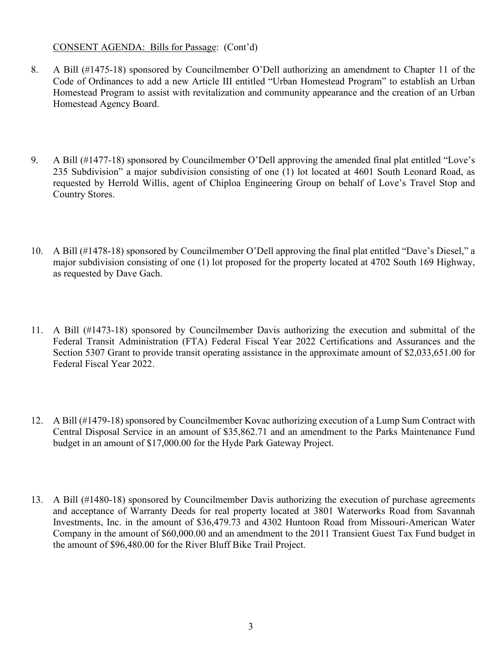#### CONSENT AGENDA: Bills for Passage: (Cont'd)

- 8. A Bill (#1475-18) sponsored by Councilmember O'Dell authorizing an amendment to Chapter 11 of the Code of Ordinances to add a new Article III entitled "Urban Homestead Program" to establish an Urban Homestead Program to assist with revitalization and community appearance and the creation of an Urban Homestead Agency Board.
- 9. A Bill (#1477-18) sponsored by Councilmember O'Dell approving the amended final plat entitled "Love's 235 Subdivision" a major subdivision consisting of one (1) lot located at 4601 South Leonard Road, as requested by Herrold Willis, agent of Chiploa Engineering Group on behalf of Love's Travel Stop and Country Stores.
- 10. A Bill (#1478-18) sponsored by Councilmember O'Dell approving the final plat entitled "Dave's Diesel," a major subdivision consisting of one (1) lot proposed for the property located at 4702 South 169 Highway, as requested by Dave Gach.
- 11. A Bill (#1473-18) sponsored by Councilmember Davis authorizing the execution and submittal of the Federal Transit Administration (FTA) Federal Fiscal Year 2022 Certifications and Assurances and the Section 5307 Grant to provide transit operating assistance in the approximate amount of \$2,033,651.00 for Federal Fiscal Year 2022.
- 12. A Bill (#1479-18) sponsored by Councilmember Kovac authorizing execution of a Lump Sum Contract with Central Disposal Service in an amount of \$35,862.71 and an amendment to the Parks Maintenance Fund budget in an amount of \$17,000.00 for the Hyde Park Gateway Project.
- 13. A Bill (#1480-18) sponsored by Councilmember Davis authorizing the execution of purchase agreements and acceptance of Warranty Deeds for real property located at 3801 Waterworks Road from Savannah Investments, Inc. in the amount of \$36,479.73 and 4302 Huntoon Road from Missouri-American Water Company in the amount of \$60,000.00 and an amendment to the 2011 Transient Guest Tax Fund budget in the amount of \$96,480.00 for the River Bluff Bike Trail Project.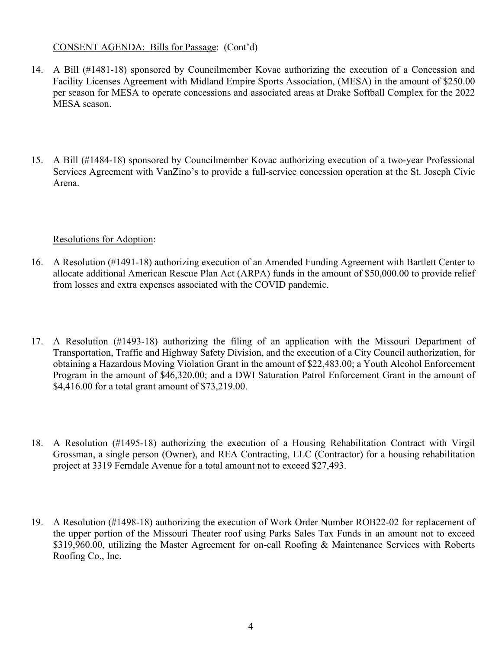### CONSENT AGENDA: Bills for Passage: (Cont'd)

- 14. A Bill (#1481-18) sponsored by Councilmember Kovac authorizing the execution of a Concession and Facility Licenses Agreement with Midland Empire Sports Association, (MESA) in the amount of \$250.00 per season for MESA to operate concessions and associated areas at Drake Softball Complex for the 2022 MESA season.
- 15. A Bill (#1484-18) sponsored by Councilmember Kovac authorizing execution of a two-year Professional Services Agreement with VanZino's to provide a full-service concession operation at the St. Joseph Civic Arena.

### Resolutions for Adoption:

- 16. A Resolution (#1491-18) authorizing execution of an Amended Funding Agreement with Bartlett Center to allocate additional American Rescue Plan Act (ARPA) funds in the amount of \$50,000.00 to provide relief from losses and extra expenses associated with the COVID pandemic.
- 17. A Resolution (#1493-18) authorizing the filing of an application with the Missouri Department of Transportation, Traffic and Highway Safety Division, and the execution of a City Council authorization, for obtaining a Hazardous Moving Violation Grant in the amount of \$22,483.00; a Youth Alcohol Enforcement Program in the amount of \$46,320.00; and a DWI Saturation Patrol Enforcement Grant in the amount of \$4,416.00 for a total grant amount of \$73,219.00.
- 18. A Resolution (#1495-18) authorizing the execution of a Housing Rehabilitation Contract with Virgil Grossman, a single person (Owner), and REA Contracting, LLC (Contractor) for a housing rehabilitation project at 3319 Ferndale Avenue for a total amount not to exceed \$27,493.
- 19. A Resolution (#1498-18) authorizing the execution of Work Order Number ROB22-02 for replacement of the upper portion of the Missouri Theater roof using Parks Sales Tax Funds in an amount not to exceed \$319,960.00, utilizing the Master Agreement for on-call Roofing & Maintenance Services with Roberts Roofing Co., Inc.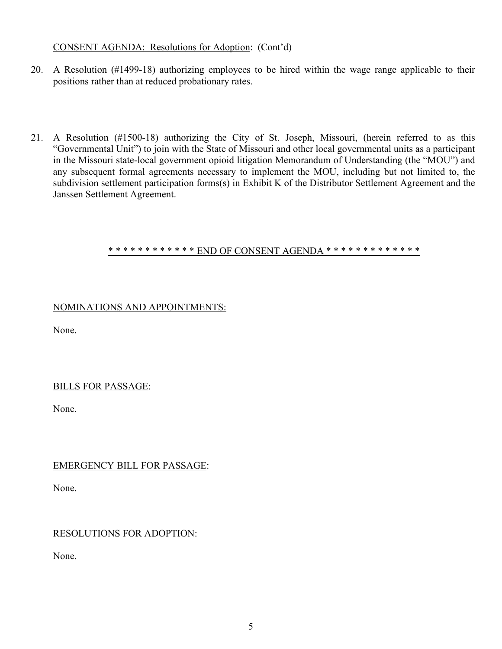## CONSENT AGENDA: Resolutions for Adoption: (Cont'd)

- 20. A Resolution (#1499-18) authorizing employees to be hired within the wage range applicable to their positions rather than at reduced probationary rates.
- 21. A Resolution (#1500-18) authorizing the City of St. Joseph, Missouri, (herein referred to as this "Governmental Unit") to join with the State of Missouri and other local governmental units as a participant in the Missouri state-local government opioid litigation Memorandum of Understanding (the "MOU") and any subsequent formal agreements necessary to implement the MOU, including but not limited to, the subdivision settlement participation forms(s) in Exhibit K of the Distributor Settlement Agreement and the Janssen Settlement Agreement.

#### \* \* \* \* \* \* \* \* \* \* \* \* END OF CONSENT AGENDA \* \* \* \* \* \* \* \* \* \* \* \* \* \* \*

## NOMINATIONS AND APPOINTMENTS:

None.

### BILLS FOR PASSAGE:

None.

# EMERGENCY BILL FOR PASSAGE:

None.

# RESOLUTIONS FOR ADOPTION:

None.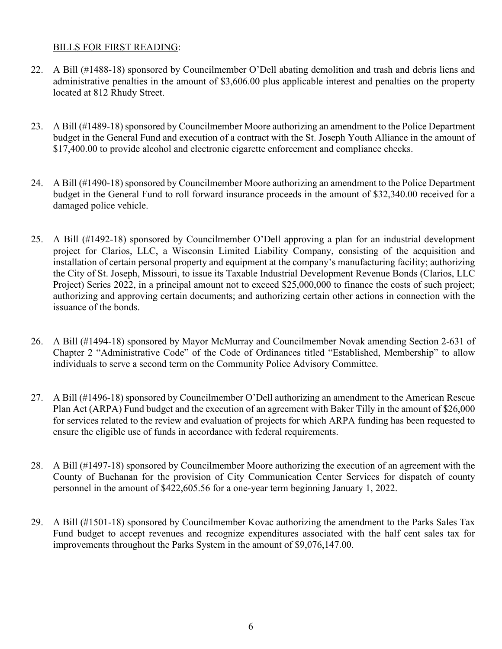## BILLS FOR FIRST READING:

- 22. A Bill (#1488-18) sponsored by Councilmember O'Dell abating demolition and trash and debris liens and administrative penalties in the amount of \$3,606.00 plus applicable interest and penalties on the property located at 812 Rhudy Street.
- 23. A Bill (#1489-18) sponsored by Councilmember Moore authorizing an amendment to the Police Department budget in the General Fund and execution of a contract with the St. Joseph Youth Alliance in the amount of \$17,400.00 to provide alcohol and electronic cigarette enforcement and compliance checks.
- 24. A Bill (#1490-18) sponsored by Councilmember Moore authorizing an amendment to the Police Department budget in the General Fund to roll forward insurance proceeds in the amount of \$32,340.00 received for a damaged police vehicle.
- 25. A Bill (#1492-18) sponsored by Councilmember O'Dell approving a plan for an industrial development project for Clarios, LLC, a Wisconsin Limited Liability Company, consisting of the acquisition and installation of certain personal property and equipment at the company's manufacturing facility; authorizing the City of St. Joseph, Missouri, to issue its Taxable Industrial Development Revenue Bonds (Clarios, LLC Project) Series 2022, in a principal amount not to exceed \$25,000,000 to finance the costs of such project; authorizing and approving certain documents; and authorizing certain other actions in connection with the issuance of the bonds.
- 26. A Bill (#1494-18) sponsored by Mayor McMurray and Councilmember Novak amending Section 2-631 of Chapter 2 "Administrative Code" of the Code of Ordinances titled "Established, Membership" to allow individuals to serve a second term on the Community Police Advisory Committee.
- 27. A Bill (#1496-18) sponsored by Councilmember O'Dell authorizing an amendment to the American Rescue Plan Act (ARPA) Fund budget and the execution of an agreement with Baker Tilly in the amount of \$26,000 for services related to the review and evaluation of projects for which ARPA funding has been requested to ensure the eligible use of funds in accordance with federal requirements.
- 28. A Bill (#1497-18) sponsored by Councilmember Moore authorizing the execution of an agreement with the County of Buchanan for the provision of City Communication Center Services for dispatch of county personnel in the amount of \$422,605.56 for a one-year term beginning January 1, 2022.
- 29. A Bill (#1501-18) sponsored by Councilmember Kovac authorizing the amendment to the Parks Sales Tax Fund budget to accept revenues and recognize expenditures associated with the half cent sales tax for improvements throughout the Parks System in the amount of \$9,076,147.00.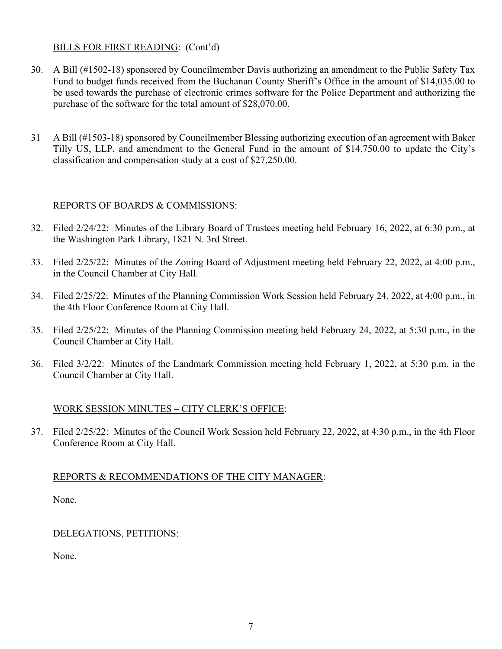### BILLS FOR FIRST READING: (Cont'd)

- 30. A Bill (#1502-18) sponsored by Councilmember Davis authorizing an amendment to the Public Safety Tax Fund to budget funds received from the Buchanan County Sheriff's Office in the amount of \$14,035.00 to be used towards the purchase of electronic crimes software for the Police Department and authorizing the purchase of the software for the total amount of \$28,070.00.
- 31 A Bill (#1503-18) sponsored by Councilmember Blessing authorizing execution of an agreement with Baker Tilly US, LLP, and amendment to the General Fund in the amount of \$14,750.00 to update the City's classification and compensation study at a cost of \$27,250.00.

### REPORTS OF BOARDS & COMMISSIONS:

- 32. Filed 2/24/22: Minutes of the Library Board of Trustees meeting held February 16, 2022, at 6:30 p.m., at the Washington Park Library, 1821 N. 3rd Street.
- 33. Filed 2/25/22: Minutes of the Zoning Board of Adjustment meeting held February 22, 2022, at 4:00 p.m., in the Council Chamber at City Hall.
- 34. Filed 2/25/22: Minutes of the Planning Commission Work Session held February 24, 2022, at 4:00 p.m., in the 4th Floor Conference Room at City Hall.
- 35. Filed 2/25/22: Minutes of the Planning Commission meeting held February 24, 2022, at 5:30 p.m., in the Council Chamber at City Hall.
- 36. Filed 3/2/22: Minutes of the Landmark Commission meeting held February 1, 2022, at 5:30 p.m. in the Council Chamber at City Hall.

### WORK SESSION MINUTES – CITY CLERK'S OFFICE:

37. Filed 2/25/22: Minutes of the Council Work Session held February 22, 2022, at 4:30 p.m., in the 4th Floor Conference Room at City Hall.

### REPORTS & RECOMMENDATIONS OF THE CITY MANAGER:

None.

# DELEGATIONS, PETITIONS:

None.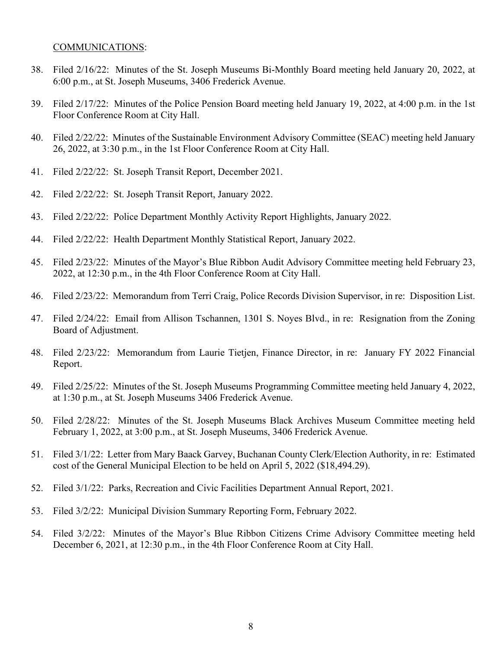#### COMMUNICATIONS:

- 38. Filed 2/16/22: Minutes of the St. Joseph Museums Bi-Monthly Board meeting held January 20, 2022, at 6:00 p.m., at St. Joseph Museums, 3406 Frederick Avenue.
- 39. Filed 2/17/22: Minutes of the Police Pension Board meeting held January 19, 2022, at 4:00 p.m. in the 1st Floor Conference Room at City Hall.
- 40. Filed 2/22/22: Minutes of the Sustainable Environment Advisory Committee (SEAC) meeting held January 26, 2022, at 3:30 p.m., in the 1st Floor Conference Room at City Hall.
- 41. Filed 2/22/22: St. Joseph Transit Report, December 2021.
- 42. Filed 2/22/22: St. Joseph Transit Report, January 2022.
- 43. Filed 2/22/22: Police Department Monthly Activity Report Highlights, January 2022.
- 44. Filed 2/22/22: Health Department Monthly Statistical Report, January 2022.
- 45. Filed 2/23/22: Minutes of the Mayor's Blue Ribbon Audit Advisory Committee meeting held February 23, 2022, at 12:30 p.m., in the 4th Floor Conference Room at City Hall.
- 46. Filed 2/23/22: Memorandum from Terri Craig, Police Records Division Supervisor, in re: Disposition List.
- 47. Filed 2/24/22: Email from Allison Tschannen, 1301 S. Noyes Blvd., in re: Resignation from the Zoning Board of Adjustment.
- 48. Filed 2/23/22: Memorandum from Laurie Tietjen, Finance Director, in re: January FY 2022 Financial Report.
- 49. Filed 2/25/22: Minutes of the St. Joseph Museums Programming Committee meeting held January 4, 2022, at 1:30 p.m., at St. Joseph Museums 3406 Frederick Avenue.
- 50. Filed 2/28/22: Minutes of the St. Joseph Museums Black Archives Museum Committee meeting held February 1, 2022, at 3:00 p.m., at St. Joseph Museums, 3406 Frederick Avenue.
- 51. Filed 3/1/22: Letter from Mary Baack Garvey, Buchanan County Clerk/Election Authority, in re: Estimated cost of the General Municipal Election to be held on April 5, 2022 (\$18,494.29).
- 52. Filed 3/1/22: Parks, Recreation and Civic Facilities Department Annual Report, 2021.
- 53. Filed 3/2/22: Municipal Division Summary Reporting Form, February 2022.
- 54. Filed 3/2/22: Minutes of the Mayor's Blue Ribbon Citizens Crime Advisory Committee meeting held December 6, 2021, at 12:30 p.m., in the 4th Floor Conference Room at City Hall.